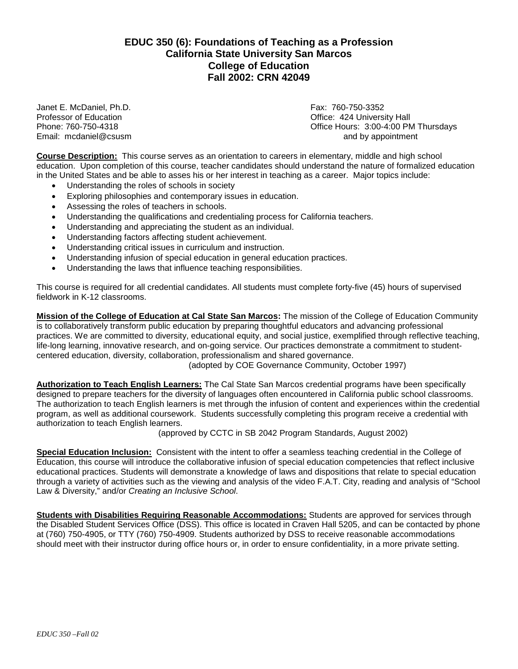# **EDUC 350 (6): Foundations of Teaching as a Profession California State University San Marcos College of Education Fall 2002: CRN 42049**

Janet E. McDaniel, Ph.D. Sand Communication and the Case of Education Professor of Education and The Communication Communication and Communication Communication Communication Communication Communication Communication Commu Email:  $medianiel@cusum$ 

Office: 424 University Hall Phone: 760-750-4318 **Phone: 760-750-4318** Christian Music Christian Christian Christian Christian Christian Chris<br> **Email:** mcdaniel@csusm Christian Christian Christian Christian Christian Christian Christian Christian Chr

**Course Description:** This course serves as an orientation to careers in elementary, middle and high school education. Upon completion of this course, teacher candidates should understand the nature of formalized education in the United States and be able to asses his or her interest in teaching as a career. Major topics include:

- Understanding the roles of schools in society
- Exploring philosophies and contemporary issues in education.
- Assessing the roles of teachers in schools.
- Understanding the qualifications and credentialing process for California teachers.
- Understanding and appreciating the student as an individual.
- Understanding factors affecting student achievement.
- Understanding critical issues in curriculum and instruction.
- Understanding infusion of special education in general education practices.
- Understanding the laws that influence teaching responsibilities.

This course is required for all credential candidates. All students must complete forty-five (45) hours of supervised fieldwork in K-12 classrooms.

**Mission of the College of Education at Cal State San Marcos:** The mission of the College of Education Community is to collaboratively transform public education by preparing thoughtful educators and advancing professional practices. We are committed to diversity, educational equity, and social justice, exemplified through reflective teaching, life-long learning, innovative research, and on-going service. Our practices demonstrate a commitment to studentcentered education, diversity, collaboration, professionalism and shared governance.

(adopted by COE Governance Community, October 1997)

**Authorization to Teach English Learners:** The Cal State San Marcos credential programs have been specifically designed to prepare teachers for the diversity of languages often encountered in California public school classrooms. The authorization to teach English learners is met through the infusion of content and experiences within the credential program, as well as additional coursework. Students successfully completing this program receive a credential with authorization to teach English learners.

(approved by CCTC in SB 2042 Program Standards, August 2002)

**Special Education Inclusion:** Consistent with the intent to offer a seamless teaching credential in the College of Education, this course will introduce the collaborative infusion of special education competencies that reflect inclusive educational practices. Students will demonstrate a knowledge of laws and dispositions that relate to special education through a variety of activities such as the viewing and analysis of the video F.A.T. City, reading and analysis of "School Law & Diversity," and/or *Creating an Inclusive School*.

**Students with Disabilities Requiring Reasonable Accommodations:** Students are approved for services through the Disabled Student Services Office (DSS). This office is located in Craven Hall 5205, and can be contacted by phone at (760) 750-4905, or TTY (760) 750-4909. Students authorized by DSS to receive reasonable accommodations should meet with their instructor during office hours or, in order to ensure confidentiality, in a more private setting.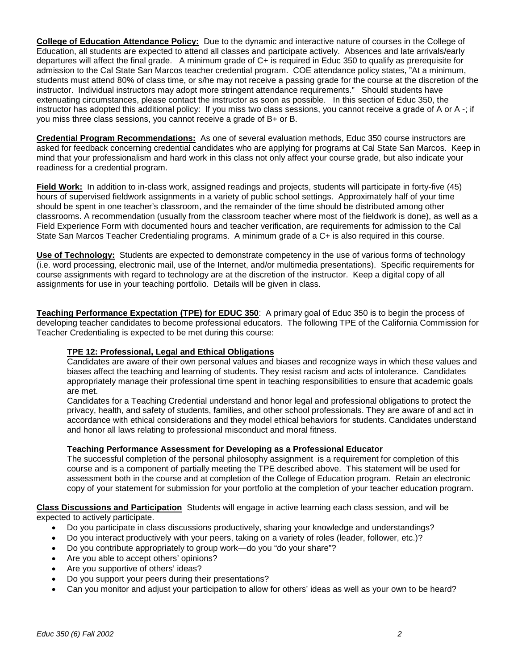**College of Education Attendance Policy:** Due to the dynamic and interactive nature of courses in the College of Education, all students are expected to attend all classes and participate actively. Absences and late arrivals/early departures will affect the final grade. A minimum grade of C+ is required in Educ 350 to qualify as prerequisite for admission to the Cal State San Marcos teacher credential program. COE attendance policy states, "At a minimum, students must attend 80% of class time, or s/he may not receive a passing grade for the course at the discretion of the instructor. Individual instructors may adopt more stringent attendance requirements." Should students have extenuating circumstances, please contact the instructor as soon as possible. In this section of Educ 350, the instructor has adopted this additional policy: If you miss two class sessions, you cannot receive a grade of A or A -; if you miss three class sessions, you cannot receive a grade of B+ or B.

**Credential Program Recommendations:** As one of several evaluation methods, Educ 350 course instructors are asked for feedback concerning credential candidates who are applying for programs at Cal State San Marcos. Keep in mind that your professionalism and hard work in this class not only affect your course grade, but also indicate your readiness for a credential program.

**Field Work:** In addition to in-class work, assigned readings and projects, students will participate in forty-five (45) hours of supervised fieldwork assignments in a variety of public school settings. Approximately half of your time should be spent in one teacher's classroom, and the remainder of the time should be distributed among other classrooms. A recommendation (usually from the classroom teacher where most of the fieldwork is done), as well as a Field Experience Form with documented hours and teacher verification, are requirements for admission to the Cal State San Marcos Teacher Credentialing programs. A minimum grade of a C+ is also required in this course.

**Use of Technology:** Students are expected to demonstrate competency in the use of various forms of technology (i.e. word processing, electronic mail, use of the Internet, and/or multimedia presentations). Specific requirements for course assignments with regard to technology are at the discretion of the instructor. Keep a digital copy of all assignments for use in your teaching portfolio. Details will be given in class.

**Teaching Performance Expectation (TPE) for EDUC 350**: A primary goal of Educ 350 is to begin the process of developing teacher candidates to become professional educators. The following TPE of the California Commission for Teacher Credentialing is expected to be met during this course:

# **TPE 12: Professional, Legal and Ethical Obligations**

Candidates are aware of their own personal values and biases and recognize ways in which these values and biases affect the teaching and learning of students. They resist racism and acts of intolerance. Candidates appropriately manage their professional time spent in teaching responsibilities to ensure that academic goals are met.

Candidates for a Teaching Credential understand and honor legal and professional obligations to protect the privacy, health, and safety of students, families, and other school professionals. They are aware of and act in accordance with ethical considerations and they model ethical behaviors for students. Candidates understand and honor all laws relating to professional misconduct and moral fitness.

# **Teaching Performance Assessment for Developing as a Professional Educator**

The successful completion of the personal philosophy assignment is a requirement for completion of this course and is a component of partially meeting the TPE described above. This statement will be used for assessment both in the course and at completion of the College of Education program. Retain an electronic copy of your statement for submission for your portfolio at the completion of your teacher education program.

**Class Discussions and Participation** Students will engage in active learning each class session, and will be expected to actively participate.

- Do you participate in class discussions productively, sharing your knowledge and understandings?
- Do you interact productively with your peers, taking on a variety of roles (leader, follower, etc.)?
- Do you contribute appropriately to group work—do you "do your share"?
- Are you able to accept others' opinions?
- Are you supportive of others' ideas?
- Do you support your peers during their presentations?
- Can you monitor and adjust your participation to allow for others' ideas as well as your own to be heard?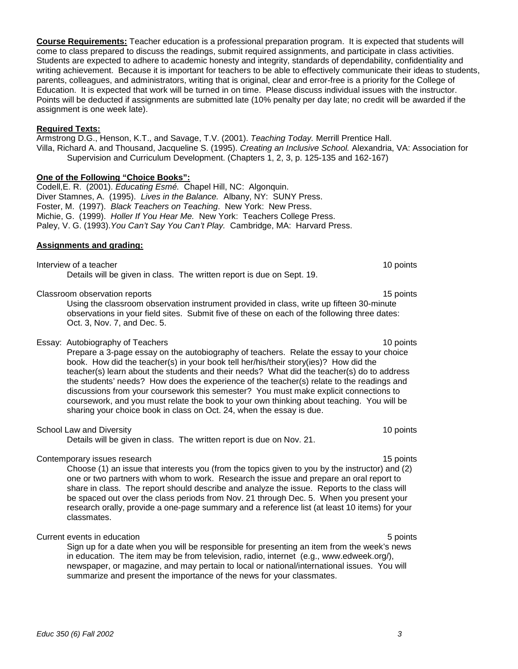**Course Requirements:** Teacher education is a professional preparation program. It is expected that students will come to class prepared to discuss the readings, submit required assignments, and participate in class activities. Students are expected to adhere to academic honesty and integrity, standards of dependability, confidentiality and writing achievement. Because it is important for teachers to be able to effectively communicate their ideas to students, parents, colleagues, and administrators, writing that is original, clear and error-free is a priority for the College of Education. It is expected that work will be turned in on time. Please discuss individual issues with the instructor. Points will be deducted if assignments are submitted late (10% penalty per day late; no credit will be awarded if the assignment is one week late).

#### **Required Texts:**

Armstrong D.G., Henson, K.T., and Savage, T.V. (2001). *Teaching Today.* Merrill Prentice Hall. Villa, Richard A. and Thousand, Jacqueline S. (1995). *Creating an Inclusive School.* Alexandria, VA: Association for Supervision and Curriculum Development. (Chapters 1, 2, 3, p. 125-135 and 162-167)

# **One of the Following "Choice Books":**

Codell,E. R. (2001). *Educating Esmé.* Chapel Hill, NC: Algonquin. Diver Stamnes, A. (1995). *Lives in the Balance.* Albany, NY: SUNY Press. Foster, M. (1997). *Black Teachers on Teaching*. New York: New Press. Michie, G. (1999). *Holler If You Hear Me.* New York: Teachers College Press. Paley, V. G. (1993).*You Can't Say You Can't Play.* Cambridge, MA: Harvard Press.

#### **Assignments and grading:**

Interview of a teacher 10 points and the set of a teacher 10 points of a teacher 10 points of a teacher 10 points of  $\sim$  10 points of  $\sim$  10 points of  $\sim$  10 points of  $\sim$  10 points of  $\sim$  10 points of  $\sim$  10 points Details will be given in class. The written report is due on Sept. 19.

#### Classroom observation reports 15 points 15 points 15 points 15 points 15 points 15 points 15 points 15 points 15 points 15 points 15 points 15 points 15 points 15 points 15 points 15 points 15 points 15 points 15 points 15

Using the classroom observation instrument provided in class, write up fifteen 30-minute observations in your field sites. Submit five of these on each of the following three dates: Oct. 3, Nov. 7, and Dec. 5.

#### Essay: Autobiography of Teachers 10 points 10 points 10 points 10 points 10 points

Prepare a 3-page essay on the autobiography of teachers. Relate the essay to your choice book. How did the teacher(s) in your book tell her/his/their story(ies)? How did the teacher(s) learn about the students and their needs? What did the teacher(s) do to address the students' needs? How does the experience of the teacher(s) relate to the readings and discussions from your coursework this semester? You must make explicit connections to coursework, and you must relate the book to your own thinking about teaching. You will be sharing your choice book in class on Oct. 24, when the essay is due.

# School Law and Diversity 10 points 10 points 10 points 10 points 10 points 10 points 10 points 10 points 10 points 10 points 10 points 10 points 10 points 10 points 10 points 10 points 10 points 10 points 10 points 10 poin

Details will be given in class. The written report is due on Nov. 21.

# Contemporary issues research 15 points and the contemporary issues research 15 points and 15 points of the contemporary issues research 15 points and 15 points and 15 points and 15 points and 15 points and 15 points and 15

Choose (1) an issue that interests you (from the topics given to you by the instructor) and (2) one or two partners with whom to work. Research the issue and prepare an oral report to share in class. The report should describe and analyze the issue. Reports to the class will be spaced out over the class periods from Nov. 21 through Dec. 5. When you present your research orally, provide a one-page summary and a reference list (at least 10 items) for your classmates.

# Current events in education **5** points **5** points **5** points **5** points **5** points

Sign up for a date when you will be responsible for presenting an item from the week's news in education. The item may be from television, radio, internet (e.g., www.edweek.org/), newspaper, or magazine, and may pertain to local or national/international issues. You will summarize and present the importance of the news for your classmates.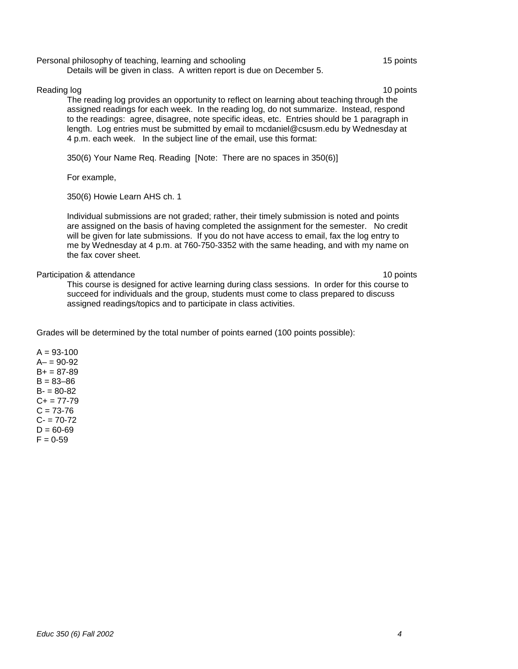Personal philosophy of teaching, learning and schooling 15 points 15 points

Details will be given in class. A written report is due on December 5.

#### Reading log 10 points and the state of the state of the state of the state of the state of the state of the state of the state of the state of the state of the state of the state of the state of the state of the state of t

The reading log provides an opportunity to reflect on learning about teaching through the assigned readings for each week. In the reading log, do not summarize. Instead, respond to the readings: agree, disagree, note specific ideas, etc. Entries should be 1 paragraph in length. Log entries must be submitted by email to mcdaniel@csusm.edu by Wednesday at 4 p.m. each week. In the subject line of the email, use this format:

350(6) Your Name Req. Reading [Note: There are no spaces in 350(6)]

For example,

350(6) Howie Learn AHS ch. 1

Individual submissions are not graded; rather, their timely submission is noted and points are assigned on the basis of having completed the assignment for the semester. No credit will be given for late submissions. If you do not have access to email, fax the log entry to me by Wednesday at 4 p.m. at 760-750-3352 with the same heading, and with my name on the fax cover sheet.

#### Participation & attendance 10 points and the set of the set of the set of the set of the set of the set of the set of the set of the set of the set of the set of the set of the set of the set of the set of the set of the s

This course is designed for active learning during class sessions. In order for this course to succeed for individuals and the group, students must come to class prepared to discuss assigned readings/topics and to participate in class activities.

Grades will be determined by the total number of points earned (100 points possible):

 $A = 93 - 100$  $A - 90 - 92$  $B+ = 87-89$  $B = 83 - 86$  $B - 80 - 82$  $C+= 77-79$  $C = 73 - 76$  $C - 70 - 72$  $D = 60 - 69$  $F = 0.59$